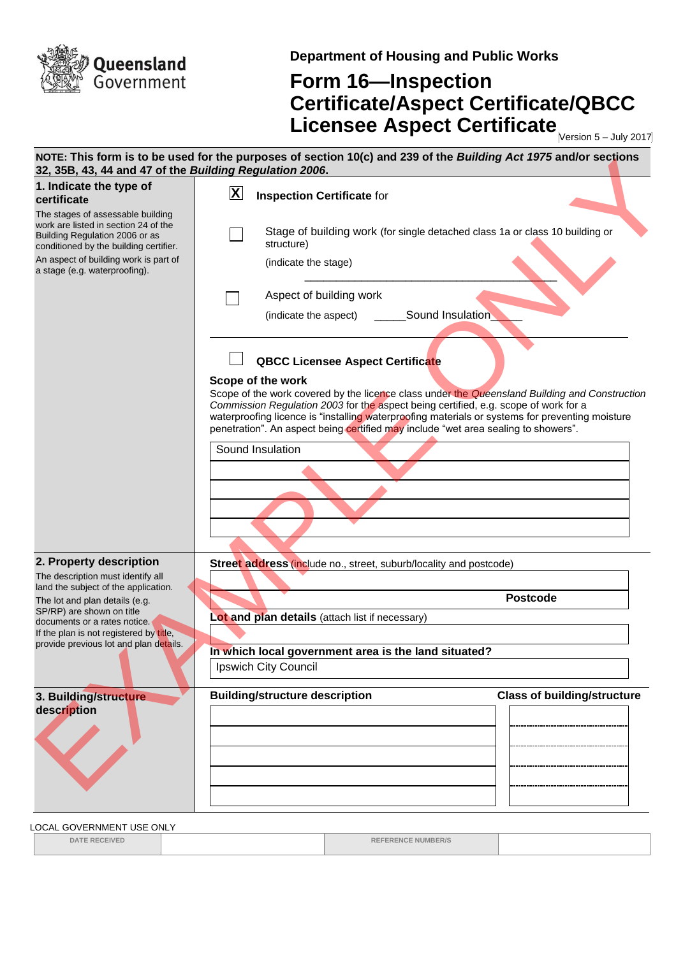

**Department of Housing and Public Works**

## **Form 16—Inspection Certificate/Aspect Certificate/QBCC Licensee Aspect Certificate** Mersion 5-July 2017

| 32, 35B, 43, 44 and 47 of the Building Regulation 2006.                                                                                               | NOTE: This form is to be used for the purposes of section 10(c) and 239 of the Building Act 1975 and/or sections                                                                                                                                                                                                                                                                                   |
|-------------------------------------------------------------------------------------------------------------------------------------------------------|----------------------------------------------------------------------------------------------------------------------------------------------------------------------------------------------------------------------------------------------------------------------------------------------------------------------------------------------------------------------------------------------------|
| 1. Indicate the type of<br>certificate                                                                                                                | $\mathbf{X}$<br><b>Inspection Certificate for</b>                                                                                                                                                                                                                                                                                                                                                  |
| The stages of assessable building<br>work are listed in section 24 of the<br>Building Regulation 2006 or as<br>conditioned by the building certifier. | Stage of building work (for single detached class 1a or class 10 building or<br>structure)                                                                                                                                                                                                                                                                                                         |
| An aspect of building work is part of<br>a stage (e.g. waterproofing).                                                                                | (indicate the stage)                                                                                                                                                                                                                                                                                                                                                                               |
|                                                                                                                                                       | Aspect of building work                                                                                                                                                                                                                                                                                                                                                                            |
|                                                                                                                                                       | Sound Insulation<br>(indicate the aspect)                                                                                                                                                                                                                                                                                                                                                          |
|                                                                                                                                                       | <b>QBCC Licensee Aspect Certificate</b>                                                                                                                                                                                                                                                                                                                                                            |
|                                                                                                                                                       | Scope of the work<br>Scope of the work covered by the licence class under the Queensland Building and Construction<br>Commission Regulation 2003 for the aspect being certified, e.g. scope of work for a<br>waterproofing licence is "installing waterproofing materials or systems for preventing moisture<br>penetration". An aspect being certified may include "wet area sealing to showers". |
|                                                                                                                                                       | Sound Insulation                                                                                                                                                                                                                                                                                                                                                                                   |
|                                                                                                                                                       |                                                                                                                                                                                                                                                                                                                                                                                                    |
|                                                                                                                                                       |                                                                                                                                                                                                                                                                                                                                                                                                    |
| 2. Property description                                                                                                                               | Street address (include no., street, suburb/locality and postcode)                                                                                                                                                                                                                                                                                                                                 |
| The description must identify all<br>land the subject of the application.                                                                             |                                                                                                                                                                                                                                                                                                                                                                                                    |
| The lot and plan details (e.g.<br>SP/RP) are shown on title                                                                                           | <b>Postcode</b><br>Lot and plan details (attach list if necessary)                                                                                                                                                                                                                                                                                                                                 |
| documents or a rates notice.<br>If the plan is not registered by title,                                                                               |                                                                                                                                                                                                                                                                                                                                                                                                    |
| provide previous lot and plan details.                                                                                                                | In which local government area is the land situated?                                                                                                                                                                                                                                                                                                                                               |
|                                                                                                                                                       | Ipswich City Council                                                                                                                                                                                                                                                                                                                                                                               |
| 3. Building/structure<br>description                                                                                                                  | <b>Building/structure description</b><br><b>Class of building/structure</b>                                                                                                                                                                                                                                                                                                                        |
|                                                                                                                                                       |                                                                                                                                                                                                                                                                                                                                                                                                    |

LOCAL GOVERNMENT USE ONLY

**DATE RECEIVED REFERENCE NUMBER/S**